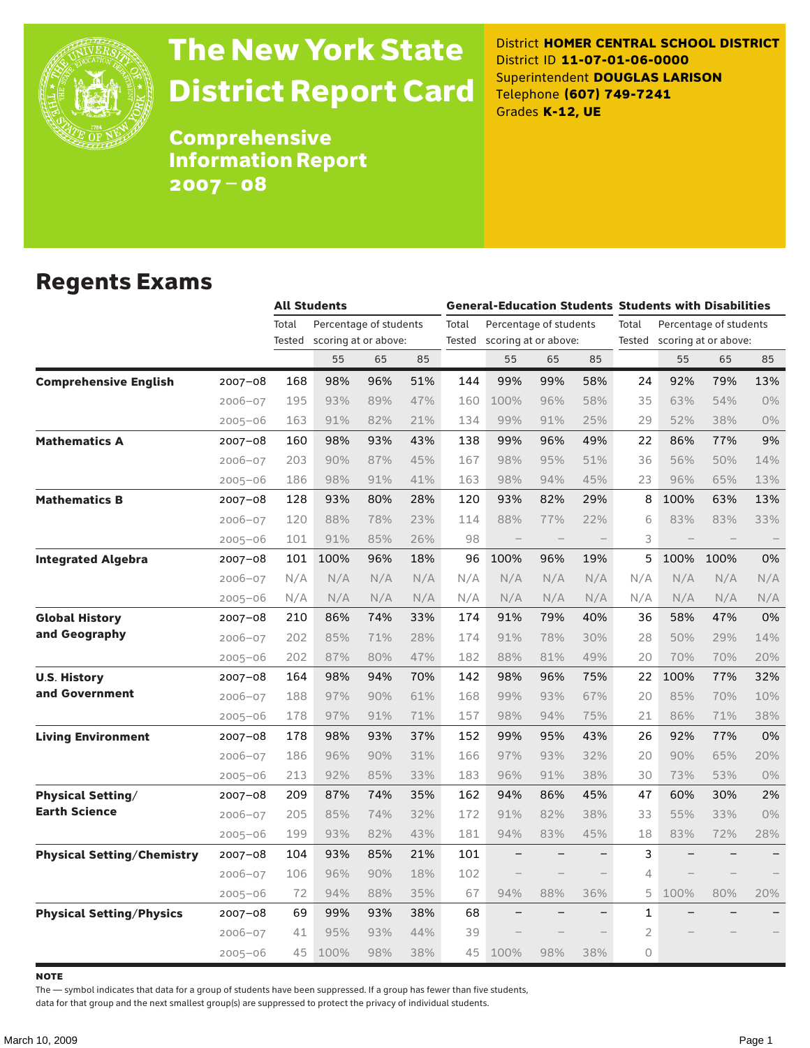

# The New York State District Report Card

District **HOMER CENTRAL SCHOOL DISTRICT** District ID **11-07-01-06-0000** Superintendent **DOUGLAS LARISON** Telephone **(607) 749-7241** Grades **K-12, UE**

Comprehensive Information Report 2007–08

#### Regents Exams

|                                   |             |        | <b>All Students</b>    |     |     | <b>General-Education Students Students with Disabilities</b> |                          |     |                          |                |                      |                        |     |
|-----------------------------------|-------------|--------|------------------------|-----|-----|--------------------------------------------------------------|--------------------------|-----|--------------------------|----------------|----------------------|------------------------|-----|
|                                   |             | Total  | Percentage of students |     |     | Total                                                        | Percentage of students   |     |                          | Total          |                      | Percentage of students |     |
|                                   |             | Tested | scoring at or above:   |     |     | Tested                                                       | scoring at or above:     |     |                          | Tested         | scoring at or above: |                        |     |
|                                   |             |        | 55                     | 65  | 85  |                                                              | 55                       | 65  | 85                       |                | 55                   | 65                     | 85  |
| <b>Comprehensive English</b>      | $2007 - 08$ | 168    | 98%                    | 96% | 51% | 144                                                          | 99%                      | 99% | 58%                      | 24             | 92%                  | 79%                    | 13% |
|                                   | $2006 - 07$ | 195    | 93%                    | 89% | 47% | 160                                                          | 100%                     | 96% | 58%                      | 35             | 63%                  | 54%                    | 0%  |
|                                   | $2005 - 06$ | 163    | 91%                    | 82% | 21% | 134                                                          | 99%                      | 91% | 25%                      | 29             | 52%                  | 38%                    | 0%  |
| <b>Mathematics A</b>              | $2007 - 08$ | 160    | 98%                    | 93% | 43% | 138                                                          | 99%                      | 96% | 49%                      | 22             | 86%                  | 77%                    | 9%  |
|                                   | $2006 - 07$ | 203    | 90%                    | 87% | 45% | 167                                                          | 98%                      | 95% | 51%                      | 36             | 56%                  | 50%                    | 14% |
|                                   | $2005 - 06$ | 186    | 98%                    | 91% | 41% | 163                                                          | 98%                      | 94% | 45%                      | 23             | 96%                  | 65%                    | 13% |
| <b>Mathematics B</b>              | $2007 - 08$ | 128    | 93%                    | 80% | 28% | 120                                                          | 93%                      | 82% | 29%                      | 8              | 100%                 | 63%                    | 13% |
|                                   | $2006 - 07$ | 120    | 88%                    | 78% | 23% | 114                                                          | 88%                      | 77% | 22%                      | 6              | 83%                  | 83%                    | 33% |
|                                   | $2005 - 06$ | 101    | 91%                    | 85% | 26% | 98                                                           | $\qquad \qquad -$        |     |                          | 3              |                      |                        |     |
| <b>Integrated Algebra</b>         | 2007-08     | 101    | 100%                   | 96% | 18% | 96                                                           | 100%                     | 96% | 19%                      | 5              | 100%                 | 100%                   | 0%  |
|                                   | $2006 - 07$ | N/A    | N/A                    | N/A | N/A | N/A                                                          | N/A                      | N/A | N/A                      | N/A            | N/A                  | N/A                    | N/A |
|                                   | $2005 - 06$ | N/A    | N/A                    | N/A | N/A | N/A                                                          | N/A                      | N/A | N/A                      | N/A            | N/A                  | N/A                    | N/A |
| <b>Global History</b>             | 2007-08     | 210    | 86%                    | 74% | 33% | 174                                                          | 91%                      | 79% | 40%                      | 36             | 58%                  | 47%                    | 0%  |
| and Geography                     | $2006 - 07$ | 202    | 85%                    | 71% | 28% | 174                                                          | 91%                      | 78% | 30%                      | 28             | 50%                  | 29%                    | 14% |
|                                   | $2005 - 06$ | 202    | 87%                    | 80% | 47% | 182                                                          | 88%                      | 81% | 49%                      | 20             | 70%                  | 70%                    | 20% |
| <b>U.S. History</b>               | 2007-08     | 164    | 98%                    | 94% | 70% | 142                                                          | 98%                      | 96% | 75%                      | 22             | 100%                 | 77%                    | 32% |
| and Government                    | $2006 - 07$ | 188    | 97%                    | 90% | 61% | 168                                                          | 99%                      | 93% | 67%                      | 20             | 85%                  | 70%                    | 10% |
|                                   | $2005 - 06$ | 178    | 97%                    | 91% | 71% | 157                                                          | 98%                      | 94% | 75%                      | 21             | 86%                  | 71%                    | 38% |
| <b>Living Environment</b>         | 2007-08     | 178    | 98%                    | 93% | 37% | 152                                                          | 99%                      | 95% | 43%                      | 26             | 92%                  | 77%                    | 0%  |
|                                   | $2006 - 07$ | 186    | 96%                    | 90% | 31% | 166                                                          | 97%                      | 93% | 32%                      | 20             | 90%                  | 65%                    | 20% |
|                                   | $2005 - 06$ | 213    | 92%                    | 85% | 33% | 183                                                          | 96%                      | 91% | 38%                      | 30             | 73%                  | 53%                    | 0%  |
| <b>Physical Setting/</b>          | 2007-08     | 209    | 87%                    | 74% | 35% | 162                                                          | 94%                      | 86% | 45%                      | 47             | 60%                  | 30%                    | 2%  |
| <b>Earth Science</b>              | $2006 - 07$ | 205    | 85%                    | 74% | 32% | 172                                                          | 91%                      | 82% | 38%                      | 33             | 55%                  | 33%                    | 0%  |
|                                   | $2005 - 06$ | 199    | 93%                    | 82% | 43% | 181                                                          | 94%                      | 83% | 45%                      | 18             | 83%                  | 72%                    | 28% |
| <b>Physical Setting/Chemistry</b> | 2007-08     | 104    | 93%                    | 85% | 21% | 101                                                          |                          |     |                          | 3              |                      |                        |     |
|                                   | $2006 - 07$ | 106    | 96%                    | 90% | 18% | 102                                                          |                          |     |                          | 4              |                      |                        |     |
|                                   | $2005 - 06$ | 72     | 94%                    | 88% | 35% | 67                                                           | 94%                      | 88% | 36%                      | 5              | 100%                 | 80%                    | 20% |
| <b>Physical Setting/Physics</b>   | 2007-08     | 69     | 99%                    | 93% | 38% | 68                                                           | $\overline{\phantom{0}}$ |     | $\overline{\phantom{0}}$ | $\mathbf{1}$   |                      |                        |     |
|                                   | $2006 - 07$ | 41     | 95%                    | 93% | 44% | 39                                                           |                          |     |                          | $\overline{2}$ |                      |                        |     |
|                                   | $2005 - 06$ | 45     | 100%                   | 98% | 38% | 45                                                           | 100%                     | 98% | 38%                      | 0              |                      |                        |     |

**NOTE** 

The — symbol indicates that data for a group of students have been suppressed. If a group has fewer than five students,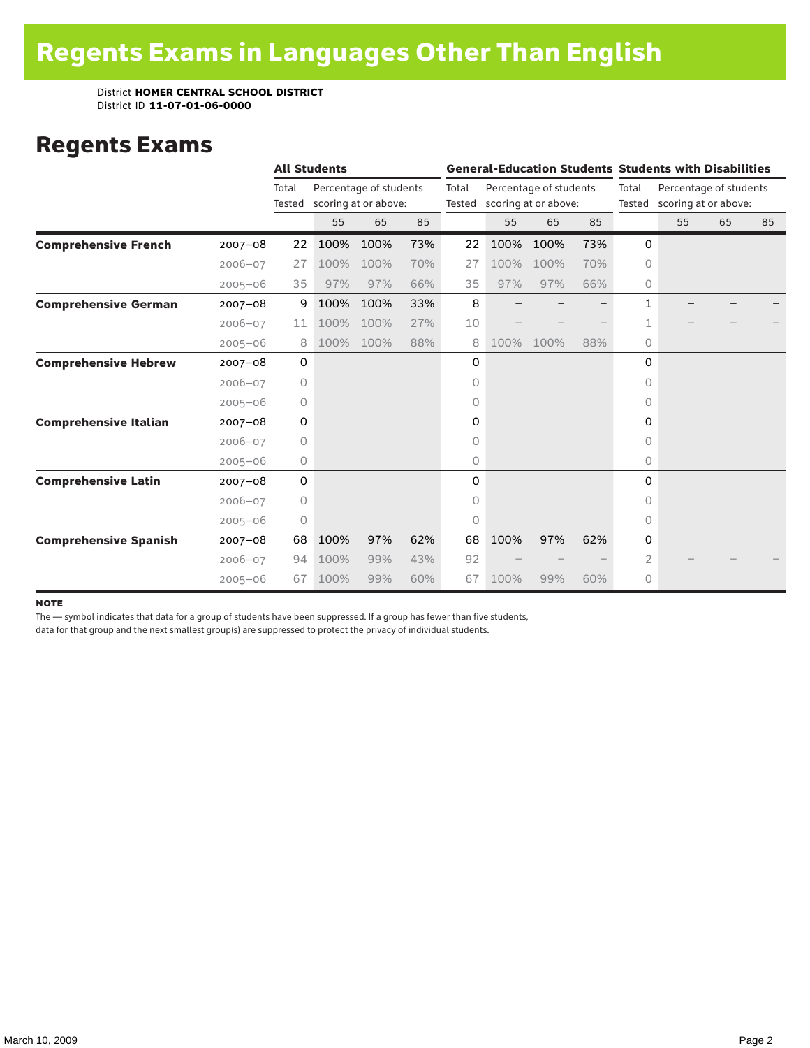### Regents Exams

|                              |             |                 | <b>All Students</b> |                                                |     |                 | <b>General-Education Students Students with Disabilities</b> |      |     |                 |                                                |    |    |  |
|------------------------------|-------------|-----------------|---------------------|------------------------------------------------|-----|-----------------|--------------------------------------------------------------|------|-----|-----------------|------------------------------------------------|----|----|--|
|                              |             | Total<br>Tested |                     | Percentage of students<br>scoring at or above: |     | Total<br>Tested | Percentage of students<br>scoring at or above:               |      |     | Total<br>Tested | Percentage of students<br>scoring at or above: |    |    |  |
|                              |             |                 | 55                  | 65                                             | 85  |                 | 55                                                           | 65   | 85  |                 | 55                                             | 65 | 85 |  |
| <b>Comprehensive French</b>  | $2007 - 08$ | 22              | 100%                | 100%                                           | 73% | 22              | 100%                                                         | 100% | 73% | 0               |                                                |    |    |  |
|                              | $2006 - 07$ | 27              | 100%                | 100%                                           | 70% | 27              | 100%                                                         | 100% | 70% | $\Omega$        |                                                |    |    |  |
|                              | $2005 - 06$ | 35              | 97%                 | 97%                                            | 66% | 35              | 97%                                                          | 97%  | 66% | $\circ$         |                                                |    |    |  |
| <b>Comprehensive German</b>  | $2007 - 08$ | 9               | 100%                | 100%                                           | 33% | 8               |                                                              |      |     | 1               |                                                |    |    |  |
|                              | $2006 - 07$ | 11              | 100%                | 100%                                           | 27% | 10              |                                                              |      |     | 1               |                                                |    |    |  |
|                              | $2005 - 06$ | 8               | 100%                | 100%                                           | 88% | 8               | 100%                                                         | 100% | 88% | $\circ$         |                                                |    |    |  |
| <b>Comprehensive Hebrew</b>  | $2007 - 08$ | 0               |                     |                                                |     | 0               |                                                              |      |     | 0               |                                                |    |    |  |
|                              | $2006 - 07$ | 0               |                     |                                                |     | 0               |                                                              |      |     | 0               |                                                |    |    |  |
|                              | $2005 - 06$ | 0               |                     |                                                |     | 0               |                                                              |      |     | 0               |                                                |    |    |  |
| <b>Comprehensive Italian</b> | $2007 - 08$ | 0               |                     |                                                |     | 0               |                                                              |      |     | $\Omega$        |                                                |    |    |  |
|                              | $2006 - 07$ | 0               |                     |                                                |     | 0               |                                                              |      |     | $\Omega$        |                                                |    |    |  |
|                              | $2005 - 06$ | 0               |                     |                                                |     | 0               |                                                              |      |     | 0               |                                                |    |    |  |
| <b>Comprehensive Latin</b>   | $2007 - 08$ | 0               |                     |                                                |     | 0               |                                                              |      |     | 0               |                                                |    |    |  |
|                              | $2006 - 07$ | 0               |                     |                                                |     | 0               |                                                              |      |     | 0               |                                                |    |    |  |
|                              | $2005 - 06$ | 0               |                     |                                                |     | 0               |                                                              |      |     | 0               |                                                |    |    |  |
| <b>Comprehensive Spanish</b> | $2007 - 08$ | 68              | 100%                | 97%                                            | 62% | 68              | 100%                                                         | 97%  | 62% | $\Omega$        |                                                |    |    |  |
|                              | $2006 - 07$ | 94              | 100%                | 99%                                            | 43% | 92              |                                                              |      |     | 2               |                                                |    |    |  |
|                              | $2005 - 06$ | 67              | 100%                | 99%                                            | 60% | 67              | 100%                                                         | 99%  | 60% | 0               |                                                |    |    |  |

#### **NOTE**

The — symbol indicates that data for a group of students have been suppressed. If a group has fewer than five students,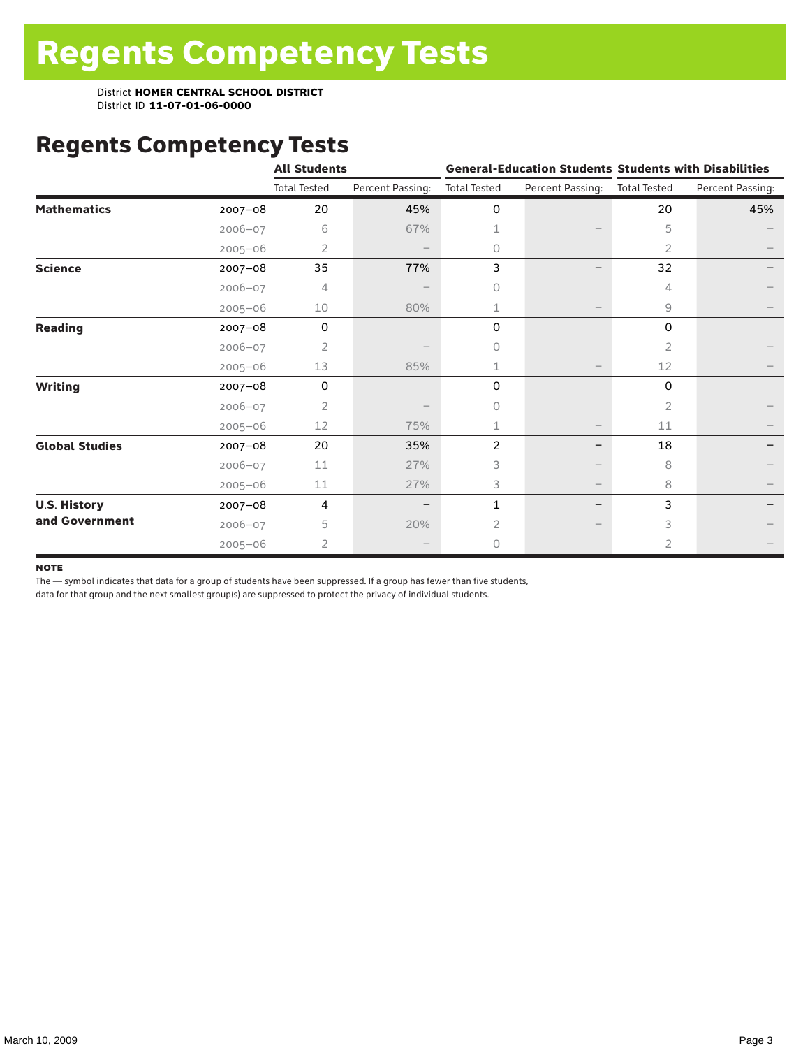# Regents Competency Tests

|                       |             | <b>All Students</b> |                  |                     |                          | <b>General-Education Students Students with Disabilities</b> |                  |  |
|-----------------------|-------------|---------------------|------------------|---------------------|--------------------------|--------------------------------------------------------------|------------------|--|
|                       |             | <b>Total Tested</b> | Percent Passing: | <b>Total Tested</b> | Percent Passing:         | <b>Total Tested</b>                                          | Percent Passing: |  |
| <b>Mathematics</b>    | $2007 - 08$ | 20                  | 45%              | 0                   |                          | 20                                                           | 45%              |  |
|                       | $2006 - 07$ | 6                   | 67%              | 1                   |                          | 5                                                            |                  |  |
|                       | $2005 - 06$ | $\overline{2}$      |                  | 0                   |                          | 2                                                            |                  |  |
| <b>Science</b>        | 2007-08     | 35                  | 77%              | 3                   |                          | 32                                                           |                  |  |
|                       | 2006-07     | 4                   |                  | $\circ$             |                          | 4                                                            |                  |  |
|                       | $2005 - 06$ | 10                  | 80%              | 1                   |                          | 9                                                            |                  |  |
| <b>Reading</b>        | $2007 - 08$ | 0                   |                  | 0                   |                          | 0                                                            |                  |  |
|                       | $2006 - 07$ | $\overline{2}$      |                  | $\bigcap$           |                          | 2                                                            |                  |  |
|                       | $2005 - 06$ | 13                  | 85%              | 1                   |                          | 12                                                           |                  |  |
| <b>Writing</b>        | 2007-08     | 0                   |                  | 0                   |                          | 0                                                            |                  |  |
|                       | $2006 - 07$ | 2                   |                  | $\Omega$            |                          | 2                                                            |                  |  |
|                       | $2005 - 06$ | 12                  | 75%              | 1                   |                          | 11                                                           |                  |  |
| <b>Global Studies</b> | 2007-08     | 20                  | 35%              | 2                   |                          | 18                                                           |                  |  |
|                       | $2006 - 07$ | 11                  | 27%              | 3                   |                          | 8                                                            |                  |  |
|                       | $2005 - 06$ | 11                  | 27%              | 3                   | $\overline{\phantom{m}}$ | 8                                                            |                  |  |
| <b>U.S. History</b>   | 2007-08     | 4                   |                  | 1                   | $\overline{\phantom{m}}$ | 3                                                            |                  |  |
| and Government        | $2006 - 07$ | 5                   | 20%              | $\overline{2}$      |                          | 3                                                            |                  |  |
|                       | $2005 - 06$ | $\overline{2}$      |                  | $\circ$             |                          | $\overline{2}$                                               |                  |  |

#### **NOTE**

The — symbol indicates that data for a group of students have been suppressed. If a group has fewer than five students,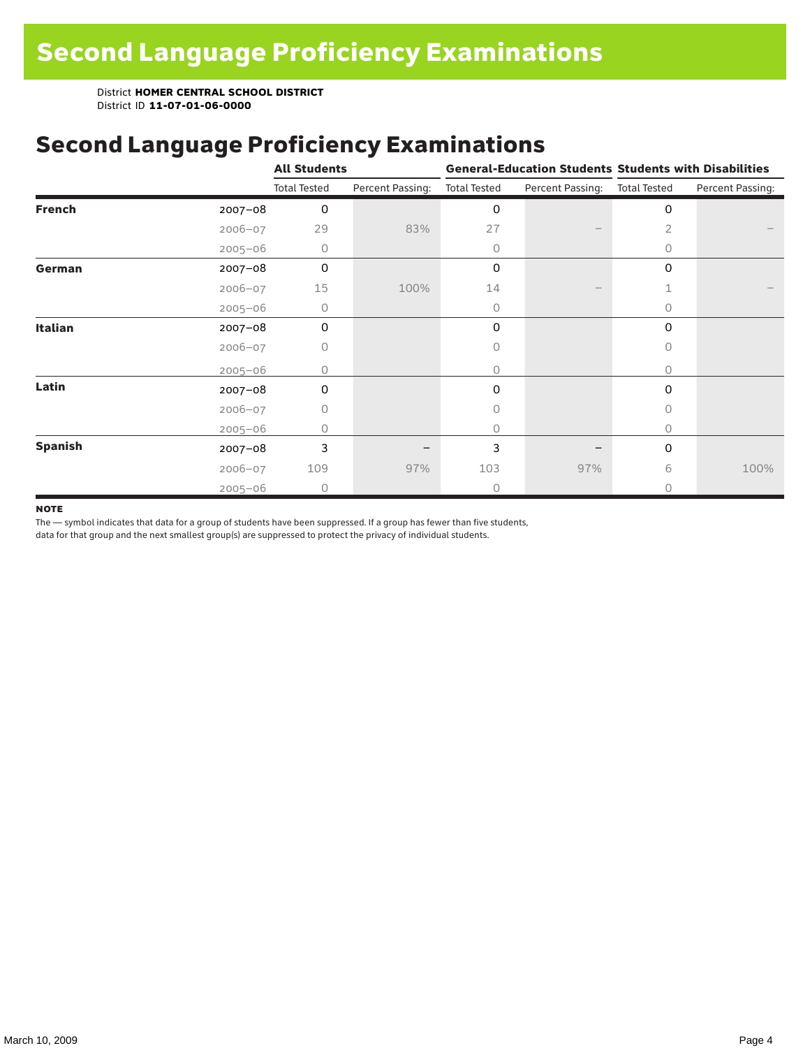### Second Language Proficiency Examinations

|                |             | <b>All Students</b> |                  |                     |                               | <b>General-Education Students Students with Disabilities</b> |                  |  |
|----------------|-------------|---------------------|------------------|---------------------|-------------------------------|--------------------------------------------------------------|------------------|--|
|                |             | <b>Total Tested</b> | Percent Passing: | <b>Total Tested</b> | Percent Passing: Total Tested |                                                              | Percent Passing: |  |
| <b>French</b>  | $2007 - 08$ | 0                   |                  | 0                   |                               | 0                                                            |                  |  |
|                | $2006 - 07$ | 29                  | 83%              | 27                  |                               | 2                                                            |                  |  |
|                | $2005 - 06$ | 0                   |                  | 0                   |                               | $\circ$                                                      |                  |  |
| German         | $2007 - 08$ | 0                   |                  | 0                   |                               | 0                                                            |                  |  |
|                | $2006 - 07$ | 15                  | 100%             | 14                  |                               |                                                              |                  |  |
|                | $2005 - 06$ | 0                   |                  | 0                   |                               | $\Omega$                                                     |                  |  |
| <b>Italian</b> | $2007 - 08$ | 0                   |                  | 0                   |                               | 0                                                            |                  |  |
|                | $2006 - 07$ | 0                   |                  | 0                   |                               | $\Omega$                                                     |                  |  |
|                | $2005 - 06$ | Ω                   |                  | 0                   |                               | 0                                                            |                  |  |
| Latin          | $2007 - 08$ | $\Omega$            |                  | 0                   |                               | $\Omega$                                                     |                  |  |
|                | $2006 - 07$ | 0                   |                  | 0                   |                               | $\Omega$                                                     |                  |  |
|                | $2005 - 06$ | 0                   |                  | 0                   |                               | 0                                                            |                  |  |
| <b>Spanish</b> | 2007-08     | 3                   |                  | 3                   |                               | 0                                                            |                  |  |
|                | $2006 - 07$ | 109                 | 97%              | 103                 | 97%                           | 6                                                            | 100%             |  |
|                | $2005 - 06$ | $\Omega$            |                  | 0                   |                               | $\bigcap$                                                    |                  |  |

#### **NOTE**

The — symbol indicates that data for a group of students have been suppressed. If a group has fewer than five students,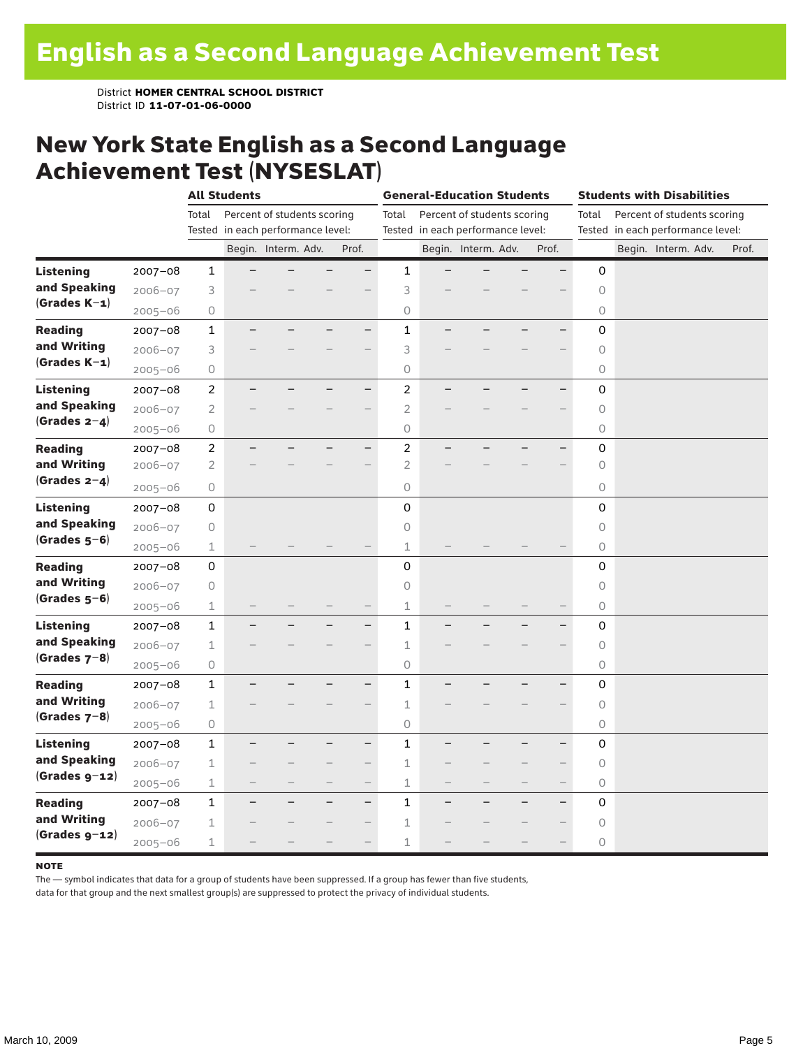#### New York State English as a Second Language Achievement Test (NYSESLAT)

|                  |             |                | <b>All Students</b>               |                             |                          | <b>General-Education Students</b> |                |                                   |                             | <b>Students with Disabilities</b> |                          |                |  |                                   |  |       |
|------------------|-------------|----------------|-----------------------------------|-----------------------------|--------------------------|-----------------------------------|----------------|-----------------------------------|-----------------------------|-----------------------------------|--------------------------|----------------|--|-----------------------------------|--|-------|
|                  |             | Total          |                                   | Percent of students scoring |                          |                                   | Total          |                                   | Percent of students scoring |                                   |                          | Total          |  | Percent of students scoring       |  |       |
|                  |             |                | Tested in each performance level: |                             |                          |                                   |                | Tested in each performance level: |                             |                                   |                          |                |  | Tested in each performance level: |  |       |
|                  |             |                |                                   | Begin. Interm. Adv.         |                          | Prof.                             |                |                                   | Begin. Interm. Adv.         |                                   | Prof.                    |                |  | Begin. Interm. Adv.               |  | Prof. |
| <b>Listening</b> | $2007 - 08$ | $\mathbf{1}$   |                                   |                             |                          |                                   | 1              |                                   |                             |                                   |                          | 0              |  |                                   |  |       |
| and Speaking     | $2006 - 07$ | 3              |                                   |                             |                          |                                   | 3              |                                   |                             |                                   |                          | $\circ$        |  |                                   |  |       |
| $(Grades K-1)$   | $2005 - 06$ | 0              |                                   |                             |                          |                                   | $\circ$        |                                   |                             |                                   |                          | $\circ$        |  |                                   |  |       |
| <b>Reading</b>   | $2007 - 08$ | $\mathbf{1}$   |                                   |                             |                          | $\overline{\phantom{0}}$          | $\mathbf{1}$   |                                   |                             |                                   | $\overline{\phantom{0}}$ | 0              |  |                                   |  |       |
| and Writing      | 2006-07     | 3              |                                   |                             |                          |                                   | 3              |                                   |                             |                                   |                          | $\circ$        |  |                                   |  |       |
| $(Grades K-1)$   | $2005 - 06$ | 0              |                                   |                             |                          |                                   | $\circ$        |                                   |                             |                                   |                          | 0              |  |                                   |  |       |
| <b>Listening</b> | $2007 - 08$ | $\overline{2}$ |                                   |                             |                          | $\overline{\phantom{0}}$          | $\overline{c}$ |                                   |                             |                                   |                          | 0              |  |                                   |  |       |
| and Speaking     | $2006 - 07$ | $\mathbf{2}$   |                                   |                             |                          |                                   | $\overline{2}$ |                                   |                             |                                   |                          | 0              |  |                                   |  |       |
| (Grades $2-4$ )  | $2005 - 06$ | 0              |                                   |                             |                          |                                   | $\bigcirc$     |                                   |                             |                                   |                          | 0              |  |                                   |  |       |
| <b>Reading</b>   | $2007 - 08$ | $\overline{c}$ |                                   |                             |                          | —                                 | $\overline{c}$ |                                   |                             |                                   |                          | 0              |  |                                   |  |       |
| and Writing      | 2006-07     | $\mathbf{2}$   |                                   |                             |                          |                                   | $\overline{2}$ |                                   |                             |                                   |                          | 0              |  |                                   |  |       |
| (Grades $2-4$ )  | $2005 - 06$ | 0              |                                   |                             |                          |                                   | $\circ$        |                                   |                             |                                   |                          | 0              |  |                                   |  |       |
| <b>Listening</b> | 2007-08     | 0              |                                   |                             |                          |                                   | 0              |                                   |                             |                                   |                          | 0              |  |                                   |  |       |
| and Speaking     | $2006 - 07$ | 0              |                                   |                             |                          |                                   | $\circ$        |                                   |                             |                                   |                          | $\circledcirc$ |  |                                   |  |       |
| $(Grades 5-6)$   | $2005 - 06$ | $\mathbf 1$    |                                   |                             |                          |                                   | 1              |                                   |                             |                                   |                          | 0              |  |                                   |  |       |
| <b>Reading</b>   | $2007 - 08$ | 0              |                                   |                             |                          |                                   | 0              |                                   |                             |                                   |                          | 0              |  |                                   |  |       |
| and Writing      | $2006 - 07$ | 0              |                                   |                             |                          |                                   | $\circ$        |                                   |                             |                                   |                          | $\circ$        |  |                                   |  |       |
| $(Grades 5-6)$   | $2005 - 06$ | $\mathbf 1$    |                                   |                             |                          |                                   | $\perp$        |                                   |                             |                                   |                          | 0              |  |                                   |  |       |
| Listening        | $2007 - 08$ | 1              |                                   |                             |                          | $\overline{\phantom{0}}$          | $\mathbf 1$    |                                   |                             |                                   |                          | $\mathbf 0$    |  |                                   |  |       |
| and Speaking     | $2006 - 07$ | 1              |                                   |                             |                          |                                   | $\mathbf 1$    |                                   |                             |                                   |                          | 0              |  |                                   |  |       |
| $(Grades 7-8)$   | $2005 - 06$ | 0              |                                   |                             |                          |                                   | $\circ$        |                                   |                             |                                   |                          | $\circ$        |  |                                   |  |       |
| <b>Reading</b>   | $2007 - 08$ | $\mathbf{1}$   |                                   |                             |                          | $\overline{\phantom{0}}$          | $\mathbf{1}$   |                                   |                             |                                   |                          | 0              |  |                                   |  |       |
| and Writing      | $2006 - 07$ | $\mathbf 1$    |                                   |                             |                          | $\overline{\phantom{0}}$          | $\mathbf 1$    |                                   |                             |                                   |                          | $\mathsf O$    |  |                                   |  |       |
| (Grades $7-8$ )  | $2005 - 06$ | 0              |                                   |                             |                          |                                   | $\circ$        |                                   |                             |                                   |                          | $\circ$        |  |                                   |  |       |
| <b>Listening</b> | 2007-08     | $\mathbf{1}$   |                                   |                             |                          | $\overline{\phantom{0}}$          | $\mathbf{1}$   |                                   |                             |                                   |                          | 0              |  |                                   |  |       |
| and Speaking     | $2006 - 07$ | 1              |                                   |                             |                          | $-$                               | $\mathbf 1$    |                                   |                             |                                   | $\qquad \qquad -$        | 0              |  |                                   |  |       |
| $(Grades g-12)$  | $2005 - 06$ | $\mathbf 1$    |                                   |                             | $\overline{\phantom{0}}$ | $\qquad \qquad -$                 | $\mathbf 1$    | $\overline{\phantom{0}}$          |                             |                                   | $\overline{\phantom{0}}$ | 0              |  |                                   |  |       |
| <b>Reading</b>   | $2007 - 08$ | $\mathbf{1}$   |                                   |                             |                          | $\overline{\phantom{0}}$          | $\mathbf{1}$   |                                   |                             |                                   | -                        | 0              |  |                                   |  |       |
| and Writing      | $2006 - 07$ | 1              |                                   |                             |                          |                                   | $\mathbf 1$    |                                   |                             |                                   |                          | 0              |  |                                   |  |       |
| $(Grades g-12)$  | $2005 - 06$ | 1              |                                   |                             |                          |                                   | $\mathbf 1$    |                                   |                             |                                   |                          | 0              |  |                                   |  |       |

#### **NOTE**

The — symbol indicates that data for a group of students have been suppressed. If a group has fewer than five students,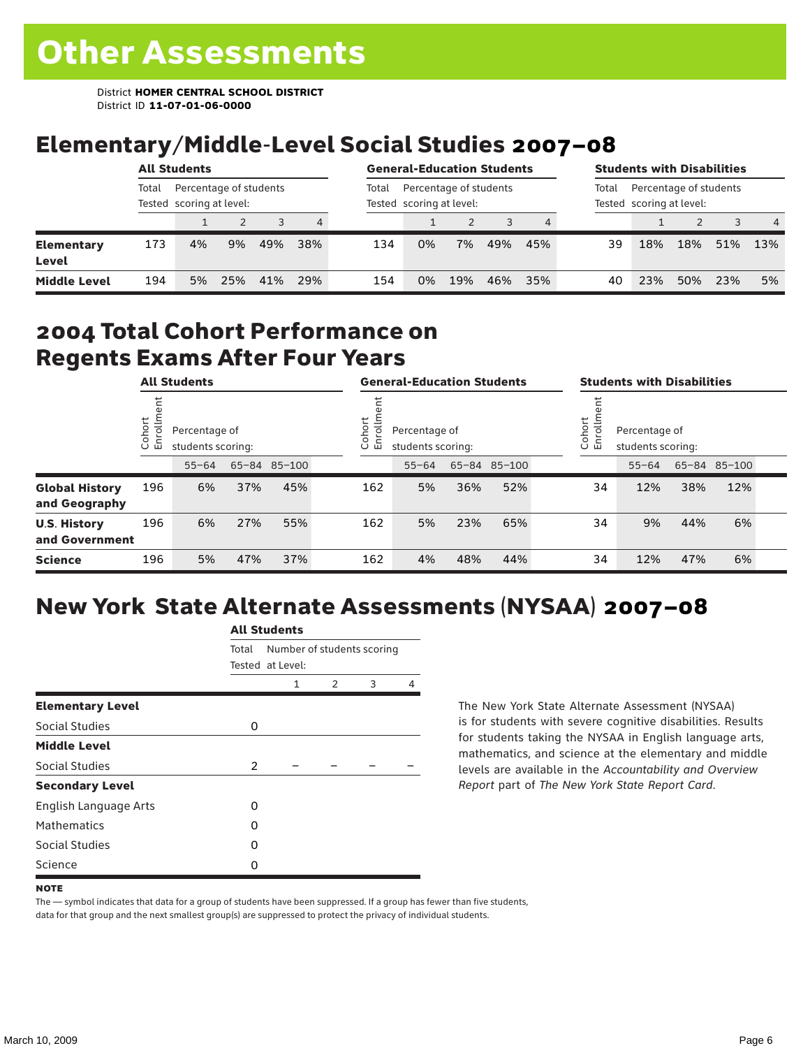# Elementary/Middle-Level Social Studies 2007–08

|                            |       | <b>All Students</b>                                |     |     |     |       | <b>General-Education Students</b>                  |     |     |     |       | <b>Students with Disabilities</b>                  |     |     |                |
|----------------------------|-------|----------------------------------------------------|-----|-----|-----|-------|----------------------------------------------------|-----|-----|-----|-------|----------------------------------------------------|-----|-----|----------------|
|                            | Total | Percentage of students<br>Tested scoring at level: |     |     |     | Total | Percentage of students<br>Tested scoring at level: |     |     |     | Total | Percentage of students<br>Tested scoring at level: |     |     |                |
|                            |       |                                                    |     | 3   | 4   |       |                                                    |     |     |     |       |                                                    |     |     | $\overline{4}$ |
| <b>Elementary</b><br>Level | 173   | 4%                                                 | 9%  | 49% | 38% | 134   | 0%                                                 | 7%  | 49% | 45% | 39    | 18%                                                | 18% | 51% | 13%            |
| <b>Middle Level</b>        | 194   | 5%                                                 | 25% | 41% | 29% | 154   | 0%                                                 | 19% | 46% | 35% | 40    | 23%                                                | 50% | 23% | 5%             |

#### 2004 Total Cohort Performance on Regents Exams After Four Years

| <b>All Students</b>                    |                       |           | <b>General-Education Students</b>  |              |  |                                                             | <b>Students with Disabilities</b> |     |              |  |                                                               |           |     |              |  |
|----------------------------------------|-----------------------|-----------|------------------------------------|--------------|--|-------------------------------------------------------------|-----------------------------------|-----|--------------|--|---------------------------------------------------------------|-----------|-----|--------------|--|
|                                        | t<br>Cohoi<br>o,<br>屲 |           | Percentage of<br>students scoring: |              |  | Cohort<br>Ξ<br>Percentage of<br>ō<br>모<br>students scoring: |                                   |     |              |  | Cohort<br>$=$<br>Percentage of<br>9<br>문<br>students scoring: |           |     |              |  |
|                                        |                       | $55 - 64$ |                                    | 65-84 85-100 |  |                                                             | $55 - 64$                         |     | 65-84 85-100 |  |                                                               | $55 - 64$ |     | 65-84 85-100 |  |
| <b>Global History</b><br>and Geography | 196                   | 6%        | 37%                                | 45%          |  | 162                                                         | 5%                                | 36% | 52%          |  | 34                                                            | 12%       | 38% | 12%          |  |
| <b>U.S. History</b><br>and Government  | 196                   | 6%        | 27%                                | 55%          |  | 162                                                         | 5%                                | 23% | 65%          |  | 34                                                            | 9%        | 44% | 6%           |  |
| <b>Science</b>                         | 196                   | 5%        | 47%                                | 37%          |  | 162                                                         | 4%                                | 48% | 44%          |  | 34                                                            | 12%       | 47% | 6%           |  |

## New York State Alternate Assessments (NYSAA) 2007–08

|                         | AIL SLUUTIILS  |                                                |   |   |   |  |  |  |
|-------------------------|----------------|------------------------------------------------|---|---|---|--|--|--|
|                         | Total          | Number of students scoring<br>Tested at Level: |   |   |   |  |  |  |
|                         |                | 1                                              | 2 | 3 | 4 |  |  |  |
| <b>Elementary Level</b> |                |                                                |   |   |   |  |  |  |
| Social Studies          | 0              |                                                |   |   |   |  |  |  |
| <b>Middle Level</b>     |                |                                                |   |   |   |  |  |  |
| Social Studies          | $\overline{2}$ |                                                |   |   |   |  |  |  |
| <b>Secondary Level</b>  |                |                                                |   |   |   |  |  |  |
| English Language Arts   | 0              |                                                |   |   |   |  |  |  |
| <b>Mathematics</b>      | O              |                                                |   |   |   |  |  |  |
| <b>Social Studies</b>   | O              |                                                |   |   |   |  |  |  |
| Science                 | Ω              |                                                |   |   |   |  |  |  |

All C<sub>tude</sub>

The New York State Alternate Assessment (NYSAA) is for students with severe cognitive disabilities. Results for students taking the NYSAA in English language arts, mathematics, and science at the elementary and middle levels are available in the *Accountability and Overview Report* part of *The New York State Report Card*.

The — symbol indicates that data for a group of students have been suppressed. If a group has fewer than five students, data for that group and the next smallest group(s) are suppressed to protect the privacy of individual students.

**NOTE**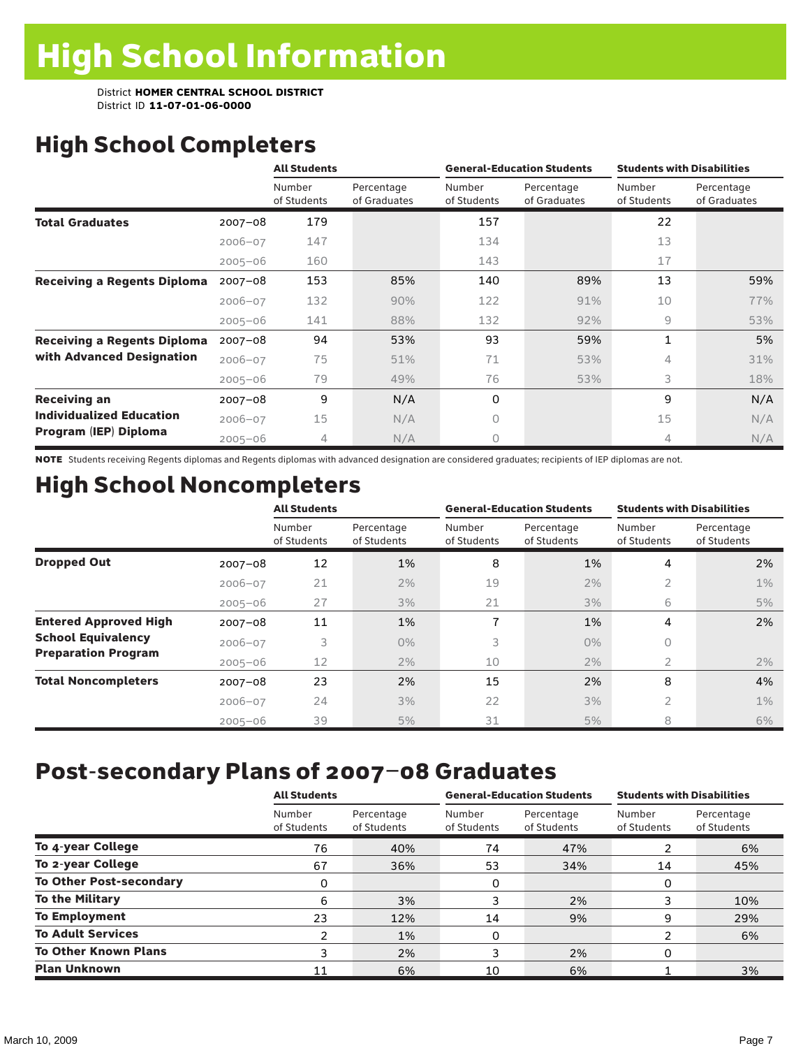# High School Completers

|                                    |             | <b>All Students</b>   |                            |                       | <b>General-Education Students</b> | <b>Students with Disabilities</b> |                            |  |
|------------------------------------|-------------|-----------------------|----------------------------|-----------------------|-----------------------------------|-----------------------------------|----------------------------|--|
|                                    |             | Number<br>of Students | Percentage<br>of Graduates | Number<br>of Students | Percentage<br>of Graduates        | Number<br>of Students             | Percentage<br>of Graduates |  |
| <b>Total Graduates</b>             | $2007 - 08$ | 179                   |                            | 157                   |                                   | 22                                |                            |  |
|                                    | $2006 - 07$ | 147                   |                            | 134                   |                                   | 13                                |                            |  |
|                                    | $2005 - 06$ | 160                   |                            | 143                   |                                   | 17                                |                            |  |
| <b>Receiving a Regents Diploma</b> | $2007 - 08$ | 153                   | 85%                        | 140                   | 89%                               | 13                                | 59%                        |  |
|                                    | $2006 - 07$ | 132                   | 90%                        | 122                   | 91%                               | 10                                | 77%                        |  |
|                                    | $2005 - 06$ | 141                   | 88%                        | 132                   | 92%                               | 9                                 | 53%                        |  |
| <b>Receiving a Regents Diploma</b> | $2007 - 08$ | 94                    | 53%                        | 93                    | 59%                               | 1                                 | 5%                         |  |
| with Advanced Designation          | $2006 - 07$ | 75                    | 51%                        | 71                    | 53%                               | 4                                 | 31%                        |  |
|                                    | $2005 - 06$ | 79                    | 49%                        | 76                    | 53%                               | 3                                 | 18%                        |  |
| <b>Receiving an</b>                | $2007 - 08$ | 9                     | N/A                        | 0                     |                                   | 9                                 | N/A                        |  |
| <b>Individualized Education</b>    | $2006 - 07$ | 15                    | N/A                        | 0                     |                                   | 15                                | N/A                        |  |
| Program (IEP) Diploma              | $2005 - 06$ | 4                     | N/A                        | 0                     |                                   | 4                                 | N/A                        |  |

NOTE Students receiving Regents diplomas and Regents diplomas with advanced designation are considered graduates; recipients of IEP diplomas are not.

# High School Noncompleters

|                              |             | <b>All Students</b>   |                           |                       | <b>General-Education Students</b> | <b>Students with Disabilities</b> |                           |  |
|------------------------------|-------------|-----------------------|---------------------------|-----------------------|-----------------------------------|-----------------------------------|---------------------------|--|
|                              |             | Number<br>of Students | Percentage<br>of Students | Number<br>of Students | Percentage<br>of Students         | Number<br>of Students             | Percentage<br>of Students |  |
| <b>Dropped Out</b>           | $2007 - 08$ | 12                    | 1%                        | 8                     | 1%                                | 4                                 | 2%                        |  |
|                              | $2006 - 07$ | 21                    | 2%                        | 19                    | 2%                                | $\overline{2}$                    | $1\%$                     |  |
|                              | $2005 - 06$ | 27                    | 3%                        | 21                    | 3%                                | 6                                 | 5%                        |  |
| <b>Entered Approved High</b> | $2007 - 08$ | 11                    | 1%                        | 7                     | 1%                                | 4                                 | 2%                        |  |
| <b>School Equivalency</b>    | $2006 - 07$ | 3                     | $0\%$                     | 3                     | $0\%$                             | 0                                 |                           |  |
| <b>Preparation Program</b>   | $2005 - 06$ | 12                    | 2%                        | 10                    | 2%                                | 2                                 | 2%                        |  |
| <b>Total Noncompleters</b>   | $2007 - 08$ | 23                    | 2%                        | 15                    | 2%                                | 8                                 | 4%                        |  |
|                              | $2006 - 07$ | 24                    | 3%                        | 22                    | 3%                                | $\overline{2}$                    | $1\%$                     |  |
|                              | $2005 - 06$ | 39                    | 5%                        | 31                    | 5%                                | 8                                 | 6%                        |  |

# Post-secondary Plans of 2007–08 Graduates

|                                | <b>All Students</b>   |                           |                       | <b>General-Education Students</b> | <b>Students with Disabilities</b> |                           |  |
|--------------------------------|-----------------------|---------------------------|-----------------------|-----------------------------------|-----------------------------------|---------------------------|--|
|                                | Number<br>of Students | Percentage<br>of Students | Number<br>of Students | Percentage<br>of Students         | Number<br>of Students             | Percentage<br>of Students |  |
| To 4-year College              | 76                    | 40%                       | 74                    | 47%                               | 2                                 | 6%                        |  |
| To 2-year College              | 67                    | 36%                       | 53                    | 34%                               | 14                                | 45%                       |  |
| <b>To Other Post-secondary</b> | 0                     |                           | 0                     |                                   | 0                                 |                           |  |
| <b>To the Military</b>         | 6                     | 3%                        | 3                     | 2%                                | 3                                 | 10%                       |  |
| <b>To Employment</b>           | 23                    | 12%                       | 14                    | 9%                                | 9                                 | 29%                       |  |
| <b>To Adult Services</b>       | 2                     | 1%                        | 0                     |                                   | 2                                 | 6%                        |  |
| <b>To Other Known Plans</b>    | 3                     | 2%                        | 3                     | 2%                                | 0                                 |                           |  |
| <b>Plan Unknown</b>            | 11                    | 6%                        | 10                    | 6%                                |                                   | 3%                        |  |